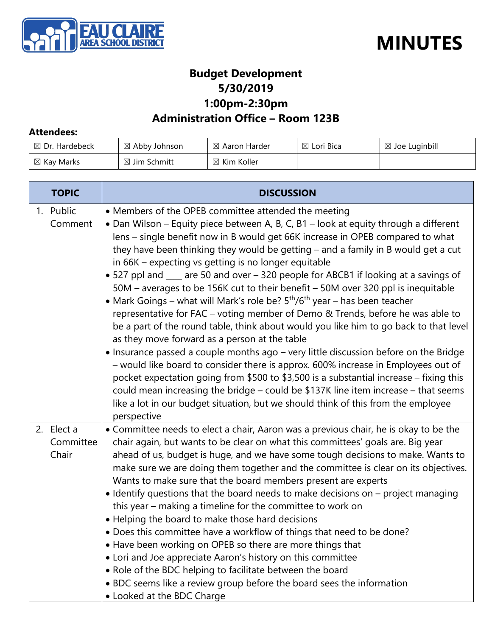



#### **Budget Development 5/30/2019 1:00pm-2:30pm**

#### **Administration Office – Room 123B**

#### **Attendees:**

| $\boxtimes$ Dr. Hardebeck | $\boxtimes$ Abby Johnson | $\boxtimes$ Aaron Harder | $\boxtimes$ Lori Bica | $\boxtimes$ Joe Luginbill |
|---------------------------|--------------------------|--------------------------|-----------------------|---------------------------|
| $\boxtimes$ Kay Marks     | $\boxtimes$ Jim Schmitt  | $\boxtimes$ Kim Koller   |                       |                           |

| <b>TOPIC</b>                     | <b>DISCUSSION</b>                                                                                                                                                                                                                                                                                                                                                                                                                                                                                                                                                                                                                                                                                                                                                                                                                                                                                                                                                                                                                                                                                                                                                                                                                                                                                                                  |  |  |
|----------------------------------|------------------------------------------------------------------------------------------------------------------------------------------------------------------------------------------------------------------------------------------------------------------------------------------------------------------------------------------------------------------------------------------------------------------------------------------------------------------------------------------------------------------------------------------------------------------------------------------------------------------------------------------------------------------------------------------------------------------------------------------------------------------------------------------------------------------------------------------------------------------------------------------------------------------------------------------------------------------------------------------------------------------------------------------------------------------------------------------------------------------------------------------------------------------------------------------------------------------------------------------------------------------------------------------------------------------------------------|--|--|
| 1. Public<br>Comment             | • Members of the OPEB committee attended the meeting<br>• Dan Wilson – Equity piece between A, B, C, B1 – look at equity through a different<br>lens – single benefit now in B would get 66K increase in OPEB compared to what<br>they have been thinking they would be getting - and a family in B would get a cut<br>in 66K – expecting vs getting is no longer equitable<br>• 527 ppl and ___ are 50 and over – 320 people for ABCB1 if looking at a savings of<br>50M - averages to be 156K cut to their benefit - 50M over 320 ppl is inequitable<br>• Mark Goings – what will Mark's role be? $5th/6th$ year – has been teacher<br>representative for FAC - voting member of Demo & Trends, before he was able to<br>be a part of the round table, think about would you like him to go back to that level<br>as they move forward as a person at the table<br>• Insurance passed a couple months ago - very little discussion before on the Bridge<br>- would like board to consider there is approx. 600% increase in Employees out of<br>pocket expectation going from \$500 to \$3,500 is a substantial increase – fixing this<br>could mean increasing the bridge - could be \$137K line item increase - that seems<br>like a lot in our budget situation, but we should think of this from the employee<br>perspective |  |  |
| 2. Elect a<br>Committee<br>Chair | • Committee needs to elect a chair, Aaron was a previous chair, he is okay to be the<br>chair again, but wants to be clear on what this committees' goals are. Big year<br>ahead of us, budget is huge, and we have some tough decisions to make. Wants to<br>make sure we are doing them together and the committee is clear on its objectives.<br>Wants to make sure that the board members present are experts<br>• Identify questions that the board needs to make decisions on – project managing<br>this year - making a timeline for the committee to work on<br>• Helping the board to make those hard decisions<br>. Does this committee have a workflow of things that need to be done?<br>• Have been working on OPEB so there are more things that<br>• Lori and Joe appreciate Aaron's history on this committee<br>• Role of the BDC helping to facilitate between the board<br>• BDC seems like a review group before the board sees the information<br>• Looked at the BDC Charge                                                                                                                                                                                                                                                                                                                                  |  |  |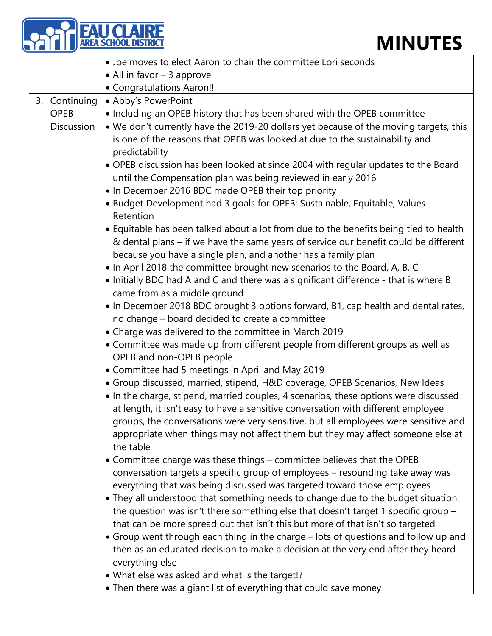|                   | <b>MINUTES</b>                                                                                                                                                                                                                                                                                                                                                                                                                                   |
|-------------------|--------------------------------------------------------------------------------------------------------------------------------------------------------------------------------------------------------------------------------------------------------------------------------------------------------------------------------------------------------------------------------------------------------------------------------------------------|
|                   | • Joe moves to elect Aaron to chair the committee Lori seconds                                                                                                                                                                                                                                                                                                                                                                                   |
|                   | • All in favor $-3$ approve                                                                                                                                                                                                                                                                                                                                                                                                                      |
|                   | • Congratulations Aaron!!                                                                                                                                                                                                                                                                                                                                                                                                                        |
| 3. Continuing     | • Abby's PowerPoint                                                                                                                                                                                                                                                                                                                                                                                                                              |
| <b>OPEB</b>       | • Including an OPEB history that has been shared with the OPEB committee                                                                                                                                                                                                                                                                                                                                                                         |
| <b>Discussion</b> | . We don't currently have the 2019-20 dollars yet because of the moving targets, this<br>is one of the reasons that OPEB was looked at due to the sustainability and<br>predictability                                                                                                                                                                                                                                                           |
|                   | • OPEB discussion has been looked at since 2004 with regular updates to the Board<br>until the Compensation plan was being reviewed in early 2016                                                                                                                                                                                                                                                                                                |
|                   | • In December 2016 BDC made OPEB their top priority                                                                                                                                                                                                                                                                                                                                                                                              |
|                   | • Budget Development had 3 goals for OPEB: Sustainable, Equitable, Values<br>Retention                                                                                                                                                                                                                                                                                                                                                           |
|                   | • Equitable has been talked about a lot from due to the benefits being tied to health<br>& dental plans – if we have the same years of service our benefit could be different<br>because you have a single plan, and another has a family plan                                                                                                                                                                                                   |
|                   | • In April 2018 the committee brought new scenarios to the Board, A, B, C                                                                                                                                                                                                                                                                                                                                                                        |
|                   | • Initially BDC had A and C and there was a significant difference - that is where B                                                                                                                                                                                                                                                                                                                                                             |
|                   | came from as a middle ground                                                                                                                                                                                                                                                                                                                                                                                                                     |
|                   | • In December 2018 BDC brought 3 options forward, B1, cap health and dental rates,                                                                                                                                                                                                                                                                                                                                                               |
|                   | no change - board decided to create a committee                                                                                                                                                                                                                                                                                                                                                                                                  |
|                   | • Charge was delivered to the committee in March 2019                                                                                                                                                                                                                                                                                                                                                                                            |
|                   | • Committee was made up from different people from different groups as well as<br>OPEB and non-OPEB people                                                                                                                                                                                                                                                                                                                                       |
|                   | • Committee had 5 meetings in April and May 2019                                                                                                                                                                                                                                                                                                                                                                                                 |
|                   | • Group discussed, married, stipend, H&D coverage, OPEB Scenarios, New Ideas<br>• In the charge, stipend, married couples, 4 scenarios, these options were discussed<br>at length, it isn't easy to have a sensitive conversation with different employee<br>groups, the conversations were very sensitive, but all employees were sensitive and<br>appropriate when things may not affect them but they may affect someone else at<br>the table |
|                   | • Committee charge was these things - committee believes that the OPEB<br>conversation targets a specific group of employees - resounding take away was                                                                                                                                                                                                                                                                                          |
|                   | everything that was being discussed was targeted toward those employees                                                                                                                                                                                                                                                                                                                                                                          |
|                   | • They all understood that something needs to change due to the budget situation,<br>the question was isn't there something else that doesn't target 1 specific group -<br>that can be more spread out that isn't this but more of that isn't so targeted                                                                                                                                                                                        |
|                   | • Group went through each thing in the charge – lots of questions and follow up and<br>then as an educated decision to make a decision at the very end after they heard<br>everything else                                                                                                                                                                                                                                                       |
|                   | • What else was asked and what is the target!?                                                                                                                                                                                                                                                                                                                                                                                                   |
|                   | • Then there was a giant list of everything that could save money                                                                                                                                                                                                                                                                                                                                                                                |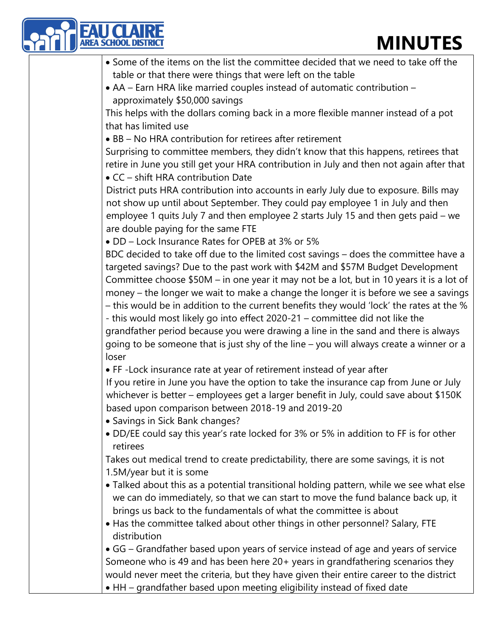| <b>EAU CLAIRE</b><br><b>AREA SCHOOL DIST</b> | <b>MINUTES</b>                                                                           |
|----------------------------------------------|------------------------------------------------------------------------------------------|
|                                              | • Some of the items on the list the committee decided that we need to take off the       |
|                                              | table or that there were things that were left on the table                              |
|                                              | • AA – Earn HRA like married couples instead of automatic contribution –                 |
| approximately \$50,000 savings               |                                                                                          |
|                                              | This helps with the dollars coming back in a more flexible manner instead of a pot       |
| that has limited use                         |                                                                                          |
|                                              | • BB - No HRA contribution for retirees after retirement                                 |
|                                              | Surprising to committee members, they didn't know that this happens, retirees that       |
|                                              | retire in June you still get your HRA contribution in July and then not again after that |
| • CC - shift HRA contribution Date           |                                                                                          |
|                                              | District puts HRA contribution into accounts in early July due to exposure. Bills may    |
|                                              | not show up until about September. They could pay employee 1 in July and then            |
|                                              | employee 1 quits July 7 and then employee 2 starts July 15 and then gets paid – we       |
| are double paying for the same FTE           |                                                                                          |
|                                              | • DD - Lock Insurance Rates for OPEB at 3% or 5%                                         |
|                                              | BDC decided to take off due to the limited cost savings - does the committee have a      |
|                                              | targeted savings? Due to the past work with \$42M and \$57M Budget Development           |
|                                              | Committee choose \$50M - in one year it may not be a lot, but in 10 years it is a lot of |
|                                              | money – the longer we wait to make a change the longer it is before we see a savings     |
|                                              | - this would be in addition to the current benefits they would 'lock' the rates at the % |
|                                              | - this would most likely go into effect 2020-21 - committee did not like the             |
|                                              | grandfather period because you were drawing a line in the sand and there is always       |
|                                              | going to be someone that is just shy of the line - you will always create a winner or a  |
| loser                                        |                                                                                          |
|                                              | • FF-Lock insurance rate at year of retirement instead of year after                     |
|                                              | If you retire in June you have the option to take the insurance cap from June or July    |
|                                              | whichever is better - employees get a larger benefit in July, could save about \$150K    |
|                                              | based upon comparison between 2018-19 and 2019-20                                        |
| • Savings in Sick Bank changes?              |                                                                                          |
| retirees                                     | . DD/EE could say this year's rate locked for 3% or 5% in addition to FF is for other    |
|                                              | Takes out medical trend to create predictability, there are some savings, it is not      |
| 1.5M/year but it is some                     |                                                                                          |
|                                              | • Talked about this as a potential transitional holding pattern, while we see what else  |
|                                              | we can do immediately, so that we can start to move the fund balance back up, it         |
|                                              | brings us back to the fundamentals of what the committee is about                        |
|                                              | • Has the committee talked about other things in other personnel? Salary, FTE            |
| distribution                                 |                                                                                          |
|                                              | • GG – Grandfather based upon years of service instead of age and years of service       |
|                                              | Someone who is 49 and has been here 20+ years in grandfathering scenarios they           |
|                                              | would never meet the criteria, but they have given their entire career to the district   |

• HH – grandfather based upon meeting eligibility instead of fixed date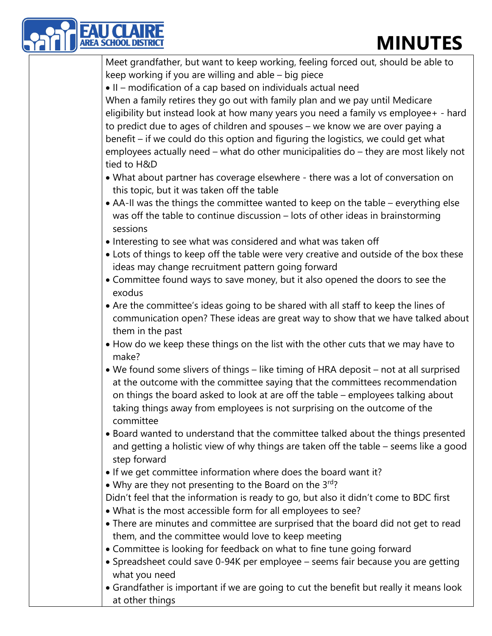

Meet grandfather, but want to keep working, feeling forced out, should be able to keep working if you are willing and able – big piece

• II – modification of a cap based on individuals actual need

When a family retires they go out with family plan and we pay until Medicare eligibility but instead look at how many years you need a family vs employee+ - hard to predict due to ages of children and spouses – we know we are over paying a benefit – if we could do this option and figuring the logistics, we could get what employees actually need – what do other municipalities do – they are most likely not tied to H&D

- What about partner has coverage elsewhere there was a lot of conversation on this topic, but it was taken off the table
- AA-II was the things the committee wanted to keep on the table everything else was off the table to continue discussion – lots of other ideas in brainstorming sessions
- Interesting to see what was considered and what was taken off
- Lots of things to keep off the table were very creative and outside of the box these ideas may change recruitment pattern going forward
- Committee found ways to save money, but it also opened the doors to see the exodus
- Are the committee's ideas going to be shared with all staff to keep the lines of communication open? These ideas are great way to show that we have talked about them in the past
- How do we keep these things on the list with the other cuts that we may have to make?
- We found some slivers of things like timing of HRA deposit not at all surprised at the outcome with the committee saying that the committees recommendation on things the board asked to look at are off the table – employees talking about taking things away from employees is not surprising on the outcome of the committee
- Board wanted to understand that the committee talked about the things presented and getting a holistic view of why things are taken off the table – seems like a good step forward
- If we get committee information where does the board want it?
- Why are they not presenting to the Board on the  $3^{rd}$ ?

Didn't feel that the information is ready to go, but also it didn't come to BDC first

- What is the most accessible form for all employees to see?
- There are minutes and committee are surprised that the board did not get to read them, and the committee would love to keep meeting
- Committee is looking for feedback on what to fine tune going forward
- Spreadsheet could save 0-94K per employee seems fair because you are getting what you need
- Grandfather is important if we are going to cut the benefit but really it means look at other things